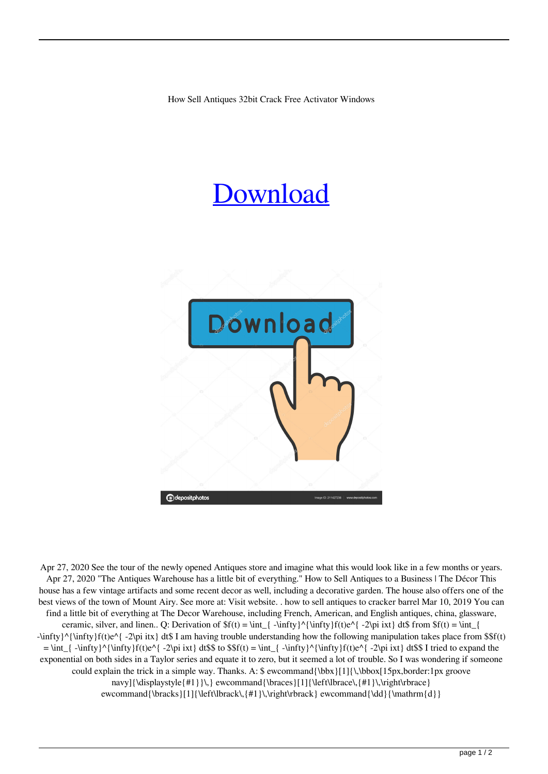How Sell Antiques 32bit Crack Free Activator Windows

## [Download](http://evacdir.com/spinsters/impetus.../efteling/graecian/?aG93IHRvIHNlbGwgYW50aXF1ZXMgdG8gY3JhY2tlciBiYXJyZWwaG9=ZG93bmxvYWR8MXNHTVRsblkzeDhNVFkxTWpjME1EZzJObng4TWpVM05IeDhLRTBwSUhKbFlXUXRZbXh2WnlCYlJtRnpkQ0JIUlU1ZA)



Apr 27, 2020 See the tour of the newly opened Antiques store and imagine what this would look like in a few months or years. Apr 27, 2020 "The Antiques Warehouse has a little bit of everything." How to Sell Antiques to a Business | The Décor This house has a few vintage artifacts and some recent decor as well, including a decorative garden. The house also offers one of the best views of the town of Mount Airy. See more at: Visit website. . how to sell antiques to cracker barrel Mar 10, 2019 You can find a little bit of everything at The Decor Warehouse, including French, American, and English antiques, china, glassware, ceramic, silver, and linen.. Q: Derivation of  $f(t) = \int_{-\infty}^{\infty}^{t}f(t)e^{2\pi ixt} dt$  from  $f(t) = \int_{0}^{t}$ -\infty}^{\infty}f(t)e^{ -2\pi itx} dt\$ I am having trouble understanding how the following manipulation takes place from \$\$f(t)  $=\int_{\cdot\infty}^{\infty}\frac{f(t)e^{2\pi ixt}}{dt}$  dt\$\$ to \$\$f(t) = \int\_{ -\infty}^{\infty}f(t)e^{ -2\pi ixt} dt\$\$ I tried to expand the exponential on both sides in a Taylor series and equate it to zero, but it seemed a lot of trouble. So I was wondering if someone could explain the trick in a simple way. Thanks. A: \$ ewcommand{\bbx}[1]{\,\bbox[15px,border:1px groove navy]{\displaystyle{#1}}\,} ewcommand{\braces}[1]{\left\lbrace\,{#1}\,\right\rbrace} ewcommand{\bracks}[1]{\left\lbrack\,{#1}\,\right\rbrack} ewcommand{\dd}{\mathrm{d}}